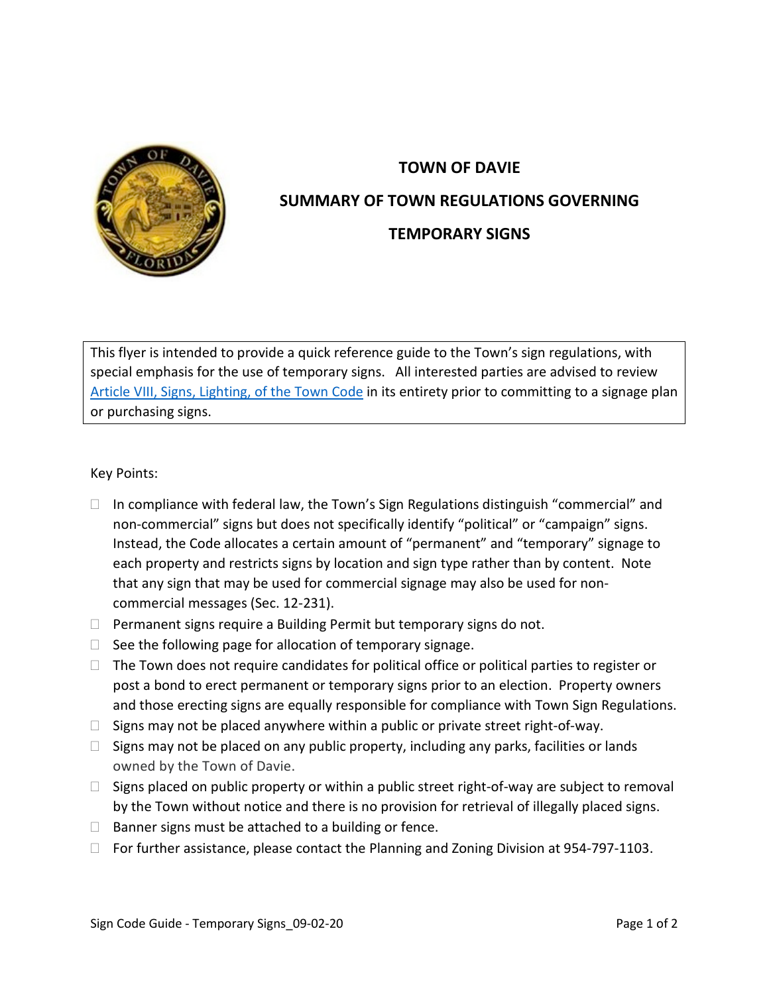

## **TOWN OF DAVIE SUMMARY OF TOWN REGULATIONS GOVERNING TEMPORARY SIGNS**

This flyer is intended to provide a quick reference guide to the Town's sign regulations, with special emphasis for the use of temporary signs. All interested parties are advised to review [Article VIII, Signs, Lighting, of the Town Code](https://library.municode.com/fl/davie/codes/code_of_ordinances?nodeId=PTIICOOR_CH12LADECO_ARTVIIISILI) in its entirety prior to committing to a signage plan or purchasing signs.

Key Points:

- $\Box$  In compliance with federal law, the Town's Sign Regulations distinguish "commercial" and non-commercial" signs but does not specifically identify "political" or "campaign" signs. Instead, the Code allocates a certain amount of "permanent" and "temporary" signage to each property and restricts signs by location and sign type rather than by content. Note that any sign that may be used for commercial signage may also be used for noncommercial messages (Sec. 12-231).
- $\Box$  Permanent signs require a Building Permit but temporary signs do not.
- $\Box$  See the following page for allocation of temporary signage.
- $\Box$  The Town does not require candidates for political office or political parties to register or post a bond to erect permanent or temporary signs prior to an election. Property owners and those erecting signs are equally responsible for compliance with Town Sign Regulations.
- $\Box$  Signs may not be placed anywhere within a public or private street right-of-way.
- $\Box$  Signs may not be placed on any public property, including any parks, facilities or lands owned by the Town of Davie.
- $\Box$  Signs placed on public property or within a public street right-of-way are subject to removal by the Town without notice and there is no provision for retrieval of illegally placed signs.
- $\Box$  Banner signs must be attached to a building or fence.
- □ For further assistance, please contact the Planning and Zoning Division at 954-797-1103.